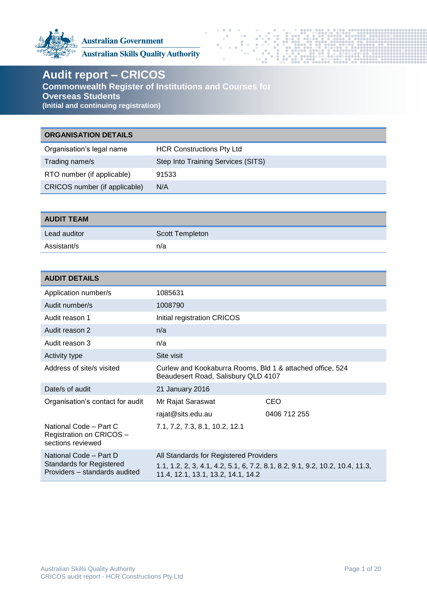

**Australian Government** 

**Australian Skills Quality Authority** 

# **Audit report – CRICOS**

**Commonwealth Register of Institutions and Courses for Overseas Students (Initial and continuing registration)**

# **ORGANISATION DETAILS**

| <b>HCR Constructions Pty Ltd</b>   |
|------------------------------------|
| Step Into Training Services (SITS) |
| 91533                              |
| N/A                                |
|                                    |

| <b>AUDIT TEAM</b> |                 |
|-------------------|-----------------|
| Lead auditor      | Scott Templeton |
| Assistant/s       | n/a             |

| <b>AUDIT DETAILS</b>                                                                       |                                                                                                  |                                                                              |
|--------------------------------------------------------------------------------------------|--------------------------------------------------------------------------------------------------|------------------------------------------------------------------------------|
| Application number/s                                                                       | 1085631                                                                                          |                                                                              |
| Audit number/s                                                                             | 1008790                                                                                          |                                                                              |
| Audit reason 1                                                                             | Initial registration CRICOS                                                                      |                                                                              |
| Audit reason 2                                                                             | n/a                                                                                              |                                                                              |
| Audit reason 3                                                                             | n/a                                                                                              |                                                                              |
| <b>Activity type</b>                                                                       | Site visit                                                                                       |                                                                              |
| Address of site/s visited                                                                  | Curlew and Kookaburra Rooms, Bld 1 & attached office, 524<br>Beaudesert Road, Salisbury QLD 4107 |                                                                              |
| Date/s of audit                                                                            | 21 January 2016                                                                                  |                                                                              |
| Organisation's contact for audit                                                           | Mr Rajat Saraswat                                                                                | CEO                                                                          |
|                                                                                            | rajat@sits.edu.au                                                                                | 0406 712 255                                                                 |
| National Code - Part C<br>Registration on CRICOS -<br>sections reviewed                    | 7.1, 7.2, 7.3, 8.1, 10.2, 12.1                                                                   |                                                                              |
| National Code - Part D<br><b>Standards for Registered</b><br>Providers - standards audited | All Standards for Registered Providers<br>11.4, 12.1, 13.1, 13.2, 14.1, 14.2                     | 1.1, 1.2, 2, 3, 4.1, 4.2, 5.1, 6, 7.2, 8.1, 8.2, 9.1, 9.2, 10.2, 10.4, 11.3, |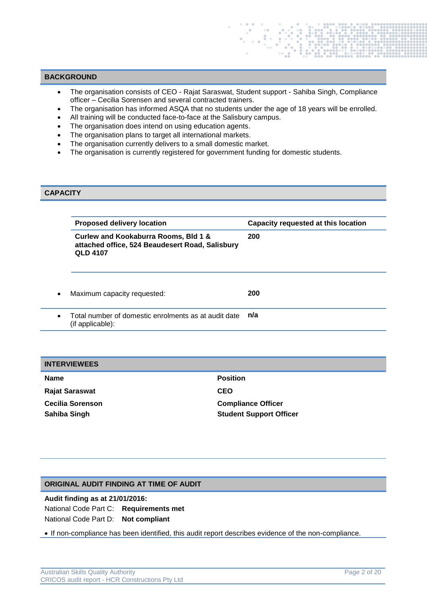## **BACKGROUND**

- The organisation consists of CEO Rajat Saraswat, Student support Sahiba Singh, Compliance officer – Cecilia Sorensen and several contracted trainers.
- The organisation has informed ASQA that no students under the age of 18 years will be enrolled.
- All training will be conducted face-to-face at the Salisbury campus.
- The organisation does intend on using education agents.
- The organisation plans to target all international markets.
- The organisation currently delivers to a small domestic market.
- The organisation is currently registered for government funding for domestic students.

## **CAPACITY**

| <b>Proposed delivery location</b>                                                                          | Capacity requested at this location |
|------------------------------------------------------------------------------------------------------------|-------------------------------------|
| Curlew and Kookaburra Rooms, Bld 1 &<br>attached office, 524 Beaudesert Road, Salisbury<br><b>QLD 4107</b> | 200                                 |
| Maximum capacity requested:                                                                                | 200                                 |
| Total number of domestic enrolments as at audit date<br>(if applicable):                                   | n/a                                 |

#### **INTERVIEWEES**

| <b>Name</b>             | <b>Position</b>                |
|-------------------------|--------------------------------|
| <b>Rajat Saraswat</b>   | <b>CEO</b>                     |
| <b>Cecilia Sorenson</b> | <b>Compliance Officer</b>      |
| Sahiba Singh            | <b>Student Support Officer</b> |

## **ORIGINAL AUDIT FINDING AT TIME OF AUDIT**

## **Audit finding as at 21/01/2016:**

National Code Part C: **Requirements met** National Code Part D: **Not compliant**

If non-compliance has been identified, this audit report describes evidence of the non-compliance.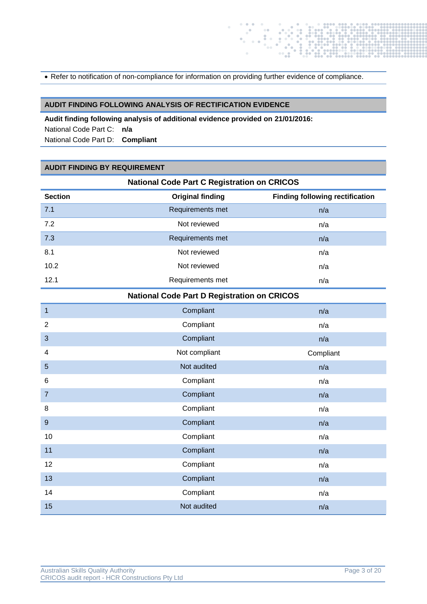• Refer to notification of non-compliance for information on providing further evidence of compliance.

## **AUDIT FINDING FOLLOWING ANALYSIS OF RECTIFICATION EVIDENCE**

**Audit finding following analysis of additional evidence provided on 21/01/2016:**  National Code Part C: **n/a** National Code Part D: **Compliant**

### **AUDIT FINDING BY REQUIREMENT**

| <b>National Code Part C Registration on CRICOS</b> |                         |                                        |
|----------------------------------------------------|-------------------------|----------------------------------------|
| <b>Section</b>                                     | <b>Original finding</b> | <b>Finding following rectification</b> |
| 7.1                                                | Requirements met        | n/a                                    |
| 7.2                                                | Not reviewed            | n/a                                    |
| 7.3                                                | Requirements met        | n/a                                    |
| 8.1                                                | Not reviewed            | n/a                                    |
| 10.2                                               | Not reviewed            | n/a                                    |
| 12.1                                               | Requirements met        | n/a                                    |
| <b>National Code Part D Registration on CRICOS</b> |                         |                                        |
| $\mathbf{1}$                                       | Compliant               | n/a                                    |
| $\overline{2}$                                     | Compliant               | n/a                                    |
| 3                                                  | Compliant               | n/a                                    |
| $\overline{4}$                                     | Not compliant           | Compliant                              |
| 5                                                  | Not audited             | n/a                                    |
| 6                                                  | Compliant               | n/a                                    |
| $\overline{7}$                                     | Compliant               | n/a                                    |
| 8                                                  | Compliant               | n/a                                    |
| $\overline{9}$                                     | Compliant               | n/a                                    |
| 10                                                 | Compliant               | n/a                                    |
| 11                                                 | Compliant               | n/a                                    |
| 12                                                 | Compliant               | n/a                                    |
| 13                                                 | Compliant               | n/a                                    |
| 14                                                 | Compliant               | n/a                                    |
| 15                                                 | Not audited             | n/a                                    |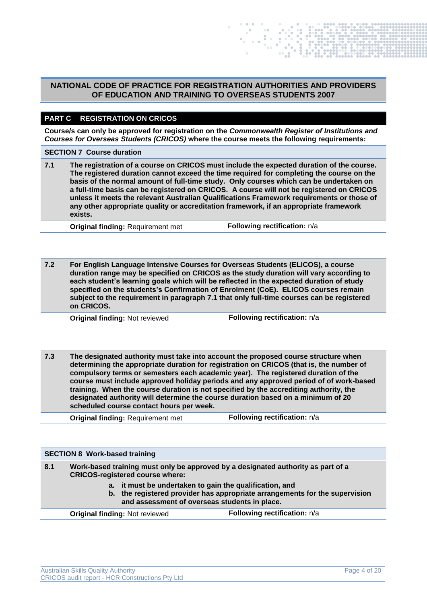## **NATIONAL CODE OF PRACTICE FOR REGISTRATION AUTHORITIES AND PROVIDERS OF EDUCATION AND TRAINING TO OVERSEAS STUDENTS 2007**

## **PART C REGISTRATION ON CRICOS**

**Course/s can only be approved for registration on the** *Commonwealth Register of Institutions and Courses for Overseas Students (CRICOS)* **where the course meets the following requirements:**

#### **SECTION 7 Course duration**

**7.1 The registration of a course on CRICOS must include the expected duration of the course. The registered duration cannot exceed the time required for completing the course on the basis of the normal amount of full-time study. Only courses which can be undertaken on a full-time basis can be registered on CRICOS. A course will not be registered on CRICOS unless it meets the relevant Australian Qualifications Framework requirements or those of any other appropriate quality or accreditation framework, if an appropriate framework exists.**

**Original finding:** Requirement met **Following rectification:** n/a

**7.2 For English Language Intensive Courses for Overseas Students (ELICOS), a course duration range may be specified on CRICOS as the study duration will vary according to each student's learning goals which will be reflected in the expected duration of study specified on the students's Confirmation of Enrolment (CoE). ELICOS courses remain subject to the requirement in paragraph 7.1 that only full-time courses can be registered on CRICOS.**

**Original finding:** Not reviewed **Following rectification:** n/a

**7.3 The designated authority must take into account the proposed course structure when determining the appropriate duration for registration on CRICOS (that is, the number of compulsory terms or semesters each academic year). The registered duration of the course must include approved holiday periods and any approved period of of work-based training. When the course duration is not specified by the accrediting authority, the designated authority will determine the course duration based on a minimum of 20 scheduled course contact hours per week.**

**Original finding: Requirement met Following rectification: n/a** 

|                                                                                                          | <b>SECTION 8 Work-based training</b>                                                                                       |                                                                             |
|----------------------------------------------------------------------------------------------------------|----------------------------------------------------------------------------------------------------------------------------|-----------------------------------------------------------------------------|
| 8.1                                                                                                      | Work-based training must only be approved by a designated authority as part of a<br><b>CRICOS-registered course where:</b> |                                                                             |
| a. it must be undertaken to gain the qualification, and<br>and assessment of overseas students in place. |                                                                                                                            | b. the registered provider has appropriate arrangements for the supervision |
|                                                                                                          | <b>Original finding: Not reviewed</b>                                                                                      | Following rectification: n/a                                                |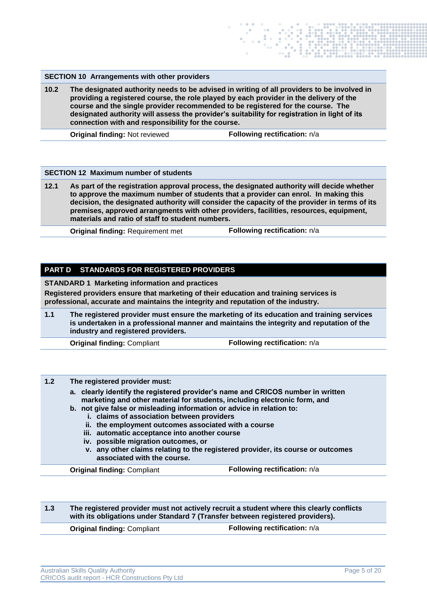### **SECTION 10 Arrangements with other providers**

**10.2 The designated authority needs to be advised in writing of all providers to be involved in providing a registered course, the role played by each provider in the delivery of the course and the single provider recommended to be registered for the course. The designated authority will assess the provider's suitability for registration in light of its connection with and responsibility for the course.**

**Original finding:** Not reviewed **Following rectification:**  $n/a$ 

#### **SECTION 12 Maximum number of students**

**12.1 As part of the registration approval process, the designated authority will decide whether to approve the maximum number of students that a provider can enrol. In making this decision, the designated authority will consider the capacity of the provider in terms of its premises, approved arrangments with other providers, facilities, resources, equipment, materials and ratio of staff to student numbers.**

**Original finding:** Requirement met **Following rectification:** n/a

## **PART D STANDARDS FOR REGISTERED PROVIDERS**

**STANDARD 1 Marketing information and practices**

**Registered providers ensure that marketing of their education and training services is professional, accurate and maintains the integrity and reputation of the industry.**

**1.1 The registered provider must ensure the marketing of its education and training services is undertaken in a professional manner and maintains the integrity and reputation of the industry and registered providers.**

**Original finding: Compliant <b>Following rectification:**  $n/a$ 

## **1.2 The registered provider must:**

- **a. clearly identify the registered provider's name and CRICOS number in written marketing and other material for students, including electronic form, and**
- **b. not give false or misleading information or advice in relation to:**
	- **i. claims of association between providers**
	- **ii. the employment outcomes associated with a course**
	- **iii. automatic acceptance into another course**
	- **iv. possible migration outcomes, or**
	- **v. any other claims relating to the registered provider, its course or outcomes associated with the course.**

**Original finding: Compliant <b>Following rectification:**  $n/a$ 

**1.3 The registered provider must not actively recruit a student where this clearly conflicts with its obligations under Standard 7 (Transfer between registered providers).**

**Original finding: Compliant <b>Following rectification:**  $n/a$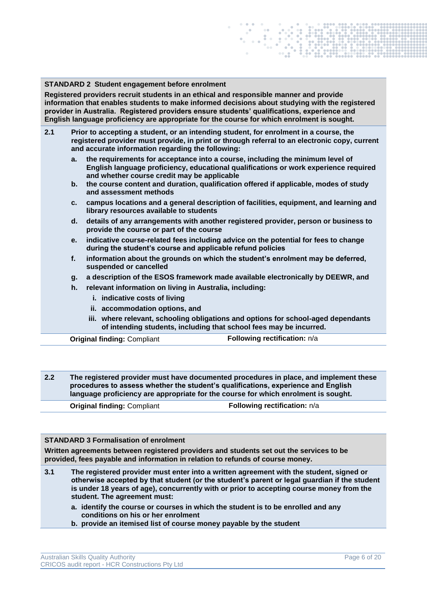#### **STANDARD 2 Student engagement before enrolment**

**Registered providers recruit students in an ethical and responsible manner and provide information that enables students to make informed decisions about studying with the registered provider in Australia. Registered providers ensure students' qualifications, experience and English language proficiency are appropriate for the course for which enrolment is sought.**

- **2.1 Prior to accepting a student, or an intending student, for enrolment in a course, the registered provider must provide, in print or through referral to an electronic copy, current and accurate information regarding the following:**
	- **a. the requirements for acceptance into a course, including the minimum level of English language proficiency, educational qualifications or work experience required and whether course credit may be applicable**
	- **b. the course content and duration, qualification offered if applicable, modes of study and assessment methods**
	- **c. campus locations and a general description of facilities, equipment, and learning and library resources available to students**
	- **d. details of any arrangements with another registered provider, person or business to provide the course or part of the course**
	- **e. indicative course-related fees including advice on the potential for fees to change during the student's course and applicable refund policies**
	- **f. information about the grounds on which the student's enrolment may be deferred, suspended or cancelled**
	- **g. a description of the ESOS framework made available electronically by DEEWR, and**
	- **h. relevant information on living in Australia, including:**
		- **i. indicative costs of living**
		- **ii. accommodation options, and**
		- **iii. where relevant, schooling obligations and options for school-aged dependants of intending students, including that school fees may be incurred.**

**Original finding: Compliant <b>Following rectification:**  $n/a$ 

**2.2 The registered provider must have documented procedures in place, and implement these procedures to assess whether the student's qualifications, experience and English language proficiency are appropriate for the course for which enrolment is sought.**

| <b>Original finding: Compliant</b> | <b>Following rectification: n/a</b> |
|------------------------------------|-------------------------------------|
|                                    |                                     |

### **STANDARD 3 Formalisation of enrolment**

**Written agreements between registered providers and students set out the services to be provided, fees payable and information in relation to refunds of course money.**

- **3.1 The registered provider must enter into a written agreement with the student, signed or otherwise accepted by that student (or the student's parent or legal guardian if the student is under 18 years of age), concurrently with or prior to accepting course money from the student. The agreement must:**
	- **a. identify the course or courses in which the student is to be enrolled and any conditions on his or her enrolment**
	- **b. provide an itemised list of course money payable by the student**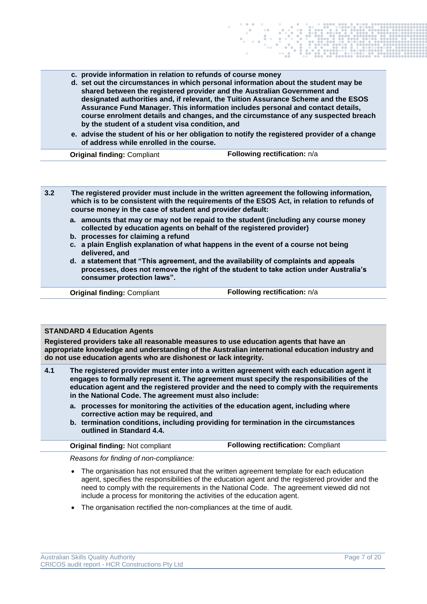**c. provide information in relation to refunds of course money**

- **d. set out the circumstances in which personal information about the student may be shared between the registered provider and the Australian Government and designated authorities and, if relevant, the Tuition Assurance Scheme and the ESOS Assurance Fund Manager. This information includes personal and contact details, course enrolment details and changes, and the circumstance of any suspected breach by the student of a student visa condition, and**
- **e. advise the student of his or her obligation to notify the registered provider of a change of address while enrolled in the course.**

**Original finding: Compliant <b>Following rectification:**  $n/a$ 

**3.2 The registered provider must include in the written agreement the following information, which is to be consistent with the requirements of the ESOS Act, in relation to refunds of course money in the case of student and provider default:**

- **a. amounts that may or may not be repaid to the student (including any course money collected by education agents on behalf of the registered provider)**
- **b. processes for claiming a refund**
- **c. a plain English explanation of what happens in the event of a course not being delivered, and**
- **d. a statement that "This agreement, and the availability of complaints and appeals processes, does not remove the right of the student to take action under Australia's consumer protection laws".**

**Original finding: Compliant <b>Following rectification:**  $n/a$ 

#### **STANDARD 4 Education Agents**

**Registered providers take all reasonable measures to use education agents that have an appropriate knowledge and understanding of the Australian international education industry and do not use education agents who are dishonest or lack integrity.**

- **4.1 The registered provider must enter into a written agreement with each education agent it engages to formally represent it. The agreement must specify the responsibilities of the education agent and the registered provider and the need to comply with the requirements in the National Code. The agreement must also include:**
	- **a. processes for monitoring the activities of the education agent, including where corrective action may be required, and**
	- **b. termination conditions, including providing for termination in the circumstances outlined in Standard 4.4.**

|  | <b>Original finding: Not compliant</b> |
|--|----------------------------------------|
|  |                                        |

**Following rectification: Compliant** 

*Reasons for finding of non-compliance:*

- The organisation has not ensured that the written agreement template for each education agent, specifies the responsibilities of the education agent and the registered provider and the need to comply with the requirements in the National Code. The agreement viewed did not include a process for monitoring the activities of the education agent.
- The organisation rectified the non-compliances at the time of audit.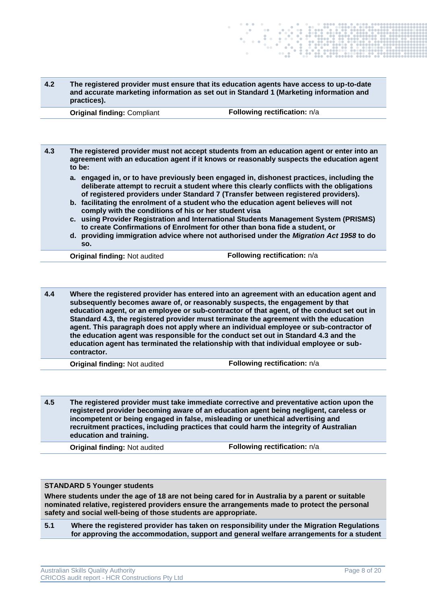| 4.2 | The registered provider must ensure that its education agents have access to up-to-date |
|-----|-----------------------------------------------------------------------------------------|
|     | and accurate marketing information as set out in Standard 1 (Marketing information and  |
|     | practices).                                                                             |

**Original finding: Compliant <b>Following rectification:**  $n/a$ 

**4.3 The registered provider must not accept students from an education agent or enter into an agreement with an education agent if it knows or reasonably suspects the education agent to be: a. engaged in, or to have previously been engaged in, dishonest practices, including the** 

- **deliberate attempt to recruit a student where this clearly conflicts with the obligations of registered providers under Standard 7 (Transfer between registered providers).**
- **b. facilitating the enrolment of a student who the education agent believes will not comply with the conditions of his or her student visa**
- **c. using Provider Registration and International Students Management System (PRISMS) to create Confirmations of Enrolment for other than bona fide a student, or**
- **d. providing immigration advice where not authorised under the** *Migration Act 1958* **to do so.**

**Original finding:** Not audited **Following rectification:**  $n/a$ 

**4.4 Where the registered provider has entered into an agreement with an education agent and subsequently becomes aware of, or reasonably suspects, the engagement by that education agent, or an employee or sub-contractor of that agent, of the conduct set out in Standard 4.3, the registered provider must terminate the agreement with the education agent. This paragraph does not apply where an individual employee or sub-contractor of the education agent was responsible for the conduct set out in Standard 4.3 and the education agent has terminated the relationship with that individual employee or subcontractor.**

**Original finding:** Not audited **Following rectification:**  $n/a$ 

**4.5 The registered provider must take immediate corrective and preventative action upon the registered provider becoming aware of an education agent being negligent, careless or incompetent or being engaged in false, misleading or unethical advertising and recruitment practices, including practices that could harm the integrity of Australian education and training.**

**Original finding:** Not audited **Following rectification:** n/a

## **STANDARD 5 Younger students**

**Where students under the age of 18 are not being cared for in Australia by a parent or suitable nominated relative, registered providers ensure the arrangements made to protect the personal safety and social well-being of those students are appropriate.**

**5.1 Where the registered provider has taken on responsibility under the Migration Regulations for approving the accommodation, support and general welfare arrangements for a student**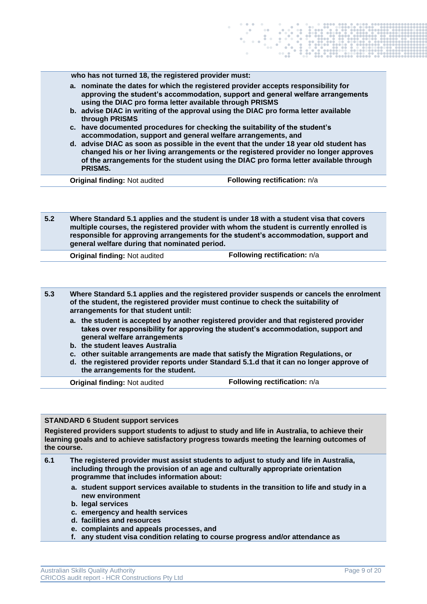**5.2 Where Standard 5.1 applies and the student is under 18 with a student visa that covers multiple courses, the registered provider with whom the student is currently enrolled is responsible for approving arrangements for the student's accommodation, support and general welfare during that nominated period.**

**Original finding:** Not audited **Following rectification:** n/a

- **5.3 Where Standard 5.1 applies and the registered provider suspends or cancels the enrolment of the student, the registered provider must continue to check the suitability of arrangements for that student until:**
	- **a. the student is accepted by another registered provider and that registered provider takes over responsibility for approving the student's accommodation, support and general welfare arrangements**
	- **b. the student leaves Australia**
	- **c. other suitable arrangements are made that satisfy the Migration Regulations, or**
	- **d. the registered provider reports under Standard 5.1.d that it can no longer approve of the arrangements for the student.**

**Original finding:** Not audited **Following rectification:** n/a

## **STANDARD 6 Student support services**

**Registered providers support students to adjust to study and life in Australia, to achieve their learning goals and to achieve satisfactory progress towards meeting the learning outcomes of the course.**

- **6.1 The registered provider must assist students to adjust to study and life in Australia, including through the provision of an age and culturally appropriate orientation programme that includes information about:** 
	- **a. student support services available to students in the transition to life and study in a new environment**
	- **b. legal services**
	- **c. emergency and health services**
	- **d. facilities and resources**
	- **e. complaints and appeals processes, and**
	- **f. any student visa condition relating to course progress and/or attendance as**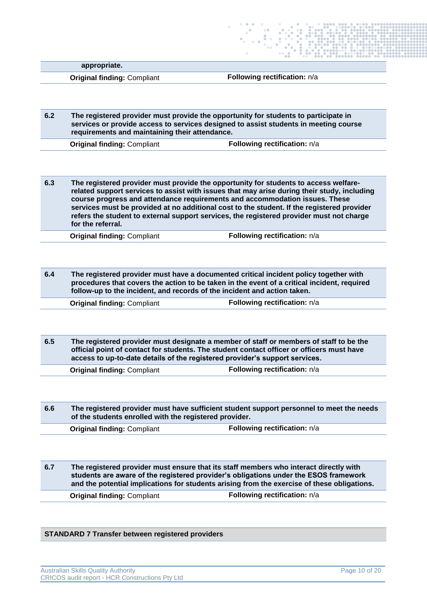**appropriate.**

**Original finding: Compliant <b>Following rectification:**  $n/a$ 

**6.2 The registered provider must provide the opportunity for students to participate in services or provide access to services designed to assist students in meeting course requirements and maintaining their attendance.**

**Original finding: Compliant <b>Following rectification:**  $n/a$ 

**6.3 The registered provider must provide the opportunity for students to access welfarerelated support services to assist with issues that may arise during their study, including course progress and attendance requirements and accommodation issues. These services must be provided at no additional cost to the student. If the registered provider refers the student to external support services, the registered provider must not charge for the referral.**

**Original finding:** Compliant **Following rectification:** n/a

**6.4 The registered provider must have a documented critical incident policy together with procedures that covers the action to be taken in the event of a critical incident, required follow-up to the incident, and records of the incident and action taken.**

**Original finding: Compliant <b>Following rectification:**  $n/a$ 

**6.5 The registered provider must designate a member of staff or members of staff to be the official point of contact for students. The student contact officer or officers must have access to up-to-date details of the registered provider's support services.**

**Original finding: Compliant <b>Following rectification:**  $n/a$ 

**6.6 The registered provider must have sufficient student support personnel to meet the needs of the students enrolled with the registered provider.**

**Original finding: Compliant <b>Following rectification:**  $n/a$ 

**6.7 The registered provider must ensure that its staff members who interact directly with students are aware of the registered provider's obligations under the ESOS framework and the potential implications for students arising from the exercise of these obligations.**

**Original finding: Compliant <b>Following rectification:**  $n/a$ 

### **STANDARD 7 Transfer between registered providers**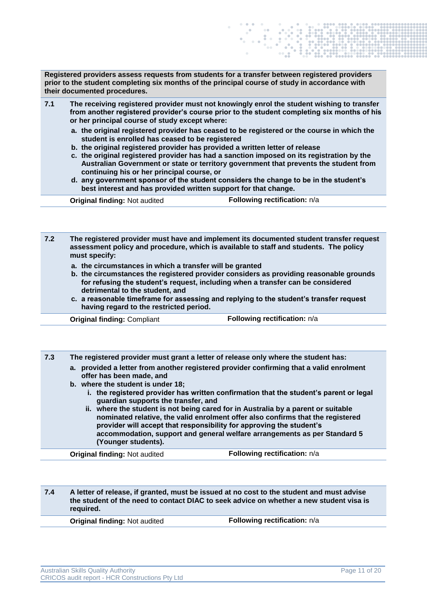**Registered providers assess requests from students for a transfer between registered providers prior to the student completing six months of the principal course of study in accordance with their documented procedures.**

- **7.1 The receiving registered provider must not knowingly enrol the student wishing to transfer from another registered provider's course prior to the student completing six months of his or her principal course of study except where:**
	- **a. the original registered provider has ceased to be registered or the course in which the student is enrolled has ceased to be registered**
	- **b. the original registered provider has provided a written letter of release**
	- **c. the original registered provider has had a sanction imposed on its registration by the Australian Government or state or territory government that prevents the student from continuing his or her principal course, or**
	- **d. any government sponsor of the student considers the change to be in the student's best interest and has provided written support for that change.**

| <b>Original finding: Not audited</b> | <b>Following rectification: n/a</b> |
|--------------------------------------|-------------------------------------|
|                                      |                                     |

**7.2 The registered provider must have and implement its documented student transfer request assessment policy and procedure, which is available to staff and students. The policy must specify:**

- **a. the circumstances in which a transfer will be granted**
- **b. the circumstances the registered provider considers as providing reasonable grounds for refusing the student's request, including when a transfer can be considered detrimental to the student, and**
- **c. a reasonable timeframe for assessing and replying to the student's transfer request having regard to the restricted period.**

**Original finding: Compliant <b>Following rectification:**  $n/a$ 

**7.3 The registered provider must grant a letter of release only where the student has:**

- **a. provided a letter from another registered provider confirming that a valid enrolment offer has been made, and**
- **b. where the student is under 18;**
	- **i. the registered provider has written confirmation that the student's parent or legal guardian supports the transfer, and**
	- **ii. where the student is not being cared for in Australia by a parent or suitable nominated relative, the valid enrolment offer also confirms that the registered provider will accept that responsibility for approving the student's accommodation, support and general welfare arrangements as per Standard 5 (Younger students).**

**Original finding:** Not audited **Following rectification:** n/a

**7.4 A letter of release, if granted, must be issued at no cost to the student and must advise the student of the need to contact DIAC to seek advice on whether a new student visa is required.**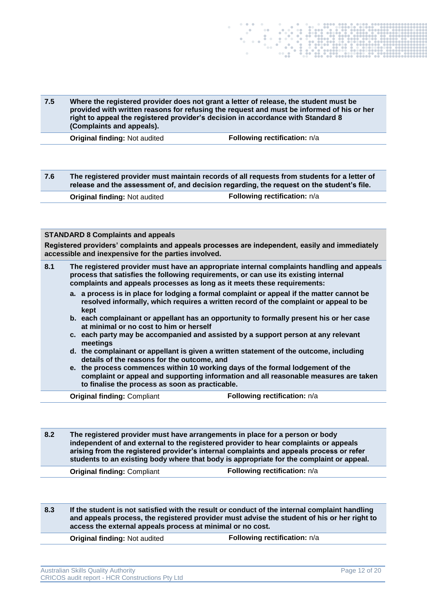

**7.6 The registered provider must maintain records of all requests from students for a letter of release and the assessment of, and decision regarding, the request on the student's file. Original finding:** Not audited **Following rectification:** n/a

#### **STANDARD 8 Complaints and appeals**

**Registered providers' complaints and appeals processes are independent, easily and immediately accessible and inexpensive for the parties involved.**

| 8.1                                                                                                                                | The registered provider must have an appropriate internal complaints handling and appeals<br>process that satisfies the following requirements, or can use its existing internal<br>complaints and appeals processes as long as it meets these requirements: |  |
|------------------------------------------------------------------------------------------------------------------------------------|--------------------------------------------------------------------------------------------------------------------------------------------------------------------------------------------------------------------------------------------------------------|--|
|                                                                                                                                    | a. a process is in place for lodging a formal complaint or appeal if the matter cannot be<br>resolved informally, which requires a written record of the complaint or appeal to be<br>kept                                                                   |  |
| b. each complainant or appellant has an opportunity to formally present his or her case<br>at minimal or no cost to him or herself |                                                                                                                                                                                                                                                              |  |
|                                                                                                                                    | c. each party may be accompanied and assisted by a support person at any relevant<br>meetings<br>d. the complainant or appellant is given a written statement of the outcome, including<br>details of the reasons for the outcome, and                       |  |
|                                                                                                                                    |                                                                                                                                                                                                                                                              |  |
|                                                                                                                                    | e. the process commences within 10 working days of the formal lodgement of the<br>complaint or appeal and supporting information and all reasonable measures are taken<br>to finalise the process as soon as practicable.                                    |  |
|                                                                                                                                    | Following rectification: n/a<br><b>Original finding: Compliant</b>                                                                                                                                                                                           |  |

**8.2 The registered provider must have arrangements in place for a person or body independent of and external to the registered provider to hear complaints or appeals arising from the registered provider's internal complaints and appeals process or refer students to an existing body where that body is appropriate for the complaint or appeal.**

**Original finding: Compliant <b>Following rectification:**  $n/a$ 

**8.3 If the student is not satisfied with the result or conduct of the internal complaint handling and appeals process, the registered provider must advise the student of his or her right to access the external appeals process at minimal or no cost.**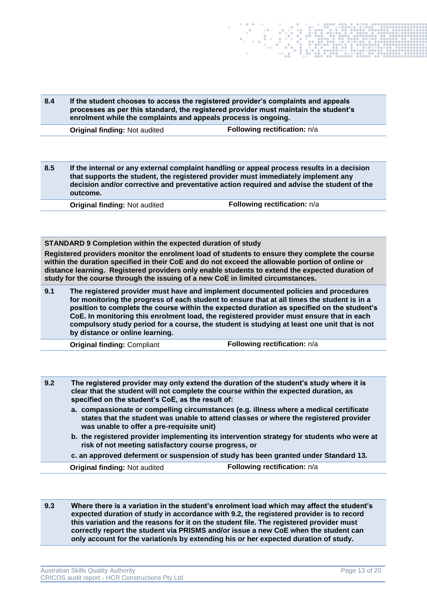| 8.4 | enrolment while the complaints and appeals process is ongoing. | If the student chooses to access the registered provider's complaints and appeals<br>processes as per this standard, the registered provider must maintain the student's |
|-----|----------------------------------------------------------------|--------------------------------------------------------------------------------------------------------------------------------------------------------------------------|
|     | <b>Original finding: Not audited</b>                           | Following rectification: n/a                                                                                                                                             |

**8.5 If the internal or any external complaint handling or appeal process results in a decision that supports the student, the registered provider must immediately implement any decision and/or corrective and preventative action required and advise the student of the outcome.**

**Original finding:** Not audited **Following rectification:**  $n/a$ 

**STANDARD 9 Completion within the expected duration of study**

**Registered providers monitor the enrolment load of students to ensure they complete the course within the duration specified in their CoE and do not exceed the allowable portion of online or distance learning. Registered providers only enable students to extend the expected duration of study for the course through the issuing of a new CoE in limited circumstances.**

**9.1 The registered provider must have and implement documented policies and procedures for monitoring the progress of each student to ensure that at all times the student is in a position to complete the course within the expected duration as specified on the student's CoE. In monitoring this enrolment load, the registered provider must ensure that in each compulsory study period for a course, the student is studying at least one unit that is not by distance or online learning.**

**Original finding: Compliant <b>Following rectification:**  $n/a$ 

- **9.2 The registered provider may only extend the duration of the student's study where it is clear that the student will not complete the course within the expected duration, as specified on the student's CoE, as the result of:**
	- **a. compassionate or compelling circumstances (e.g. illness where a medical certificate states that the student was unable to attend classes or where the registered provider was unable to offer a pre-requisite unit)**
	- **b. the registered provider implementing its intervention strategy for students who were at risk of not meeting satisfactory course progress, or**
	- **c. an approved deferment or suspension of study has been granted under Standard 13.**

**Original finding:** Not audited **Following rectification:**  $n/a$ 

**9.3 Where there is a variation in the student's enrolment load which may affect the student's expected duration of study in accordance with 9.2, the registered provider is to record this variation and the reasons for it on the student file. The registered provider must correctly report the student via PRISMS and/or issue a new CoE when the student can only account for the variation/s by extending his or her expected duration of study.**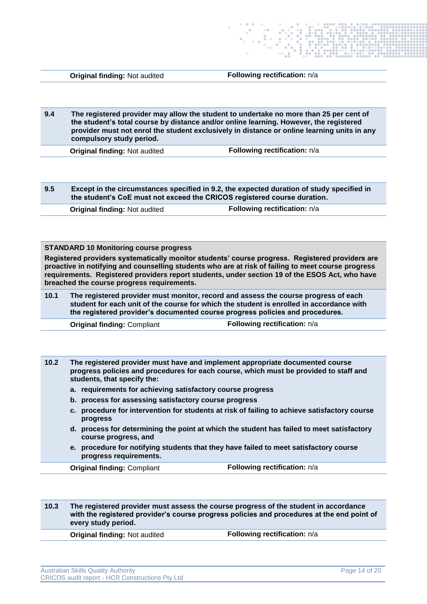**9.4 The registered provider may allow the student to undertake no more than 25 per cent of the student's total course by distance and/or online learning. However, the registered provider must not enrol the student exclusively in distance or online learning units in any compulsory study period.**

**Original finding:** Not audited **Following rectification:**  $n/a$ 

**9.5 Except in the circumstances specified in 9.2, the expected duration of study specified in the student's CoE must not exceed the CRICOS registered course duration.**

| <b>Original finding: Not audited</b> | Following rectification: n/a |
|--------------------------------------|------------------------------|
|--------------------------------------|------------------------------|

#### **STANDARD 10 Monitoring course progress**

**Registered providers systematically monitor students' course progress. Registered providers are proactive in notifying and counselling students who are at risk of failing to meet course progress requirements. Registered providers report students, under section 19 of the ESOS Act, who have breached the course progress requirements.**

**10.1 The registered provider must monitor, record and assess the course progress of each student for each unit of the course for which the student is enrolled in accordance with the registered provider's documented course progress policies and procedures.**

**Original finding: Compliant <b>Following rectification:**  $n/a$ 

**10.2 The registered provider must have and implement appropriate documented course progress policies and procedures for each course, which must be provided to staff and students, that specify the:**

- **a. requirements for achieving satisfactory course progress**
- **b. process for assessing satisfactory course progress**
- **c. procedure for intervention for students at risk of failing to achieve satisfactory course progress**
- **d. process for determining the point at which the student has failed to meet satisfactory course progress, and**
- **e. procedure for notifying students that they have failed to meet satisfactory course progress requirements.**

**Original finding: Compliant <b>Following rectification:**  $n/a$ 

**10.3 The registered provider must assess the course progress of the student in accordance with the registered provider's course progress policies and procedures at the end point of every study period.**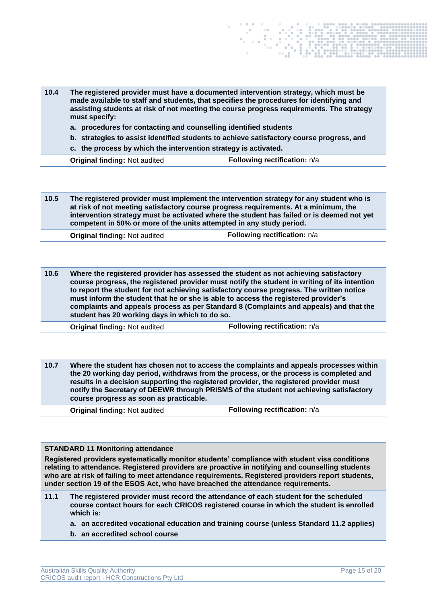| 10.4 | The registered provider must have a documented intervention strategy, which must be<br>made available to staff and students, that specifies the procedures for identifying and<br>assisting students at risk of not meeting the course progress requirements. The strategy<br>must specify:<br>a. procedures for contacting and counselling identified students<br>b. strategies to assist identified students to achieve satisfactory course progress, and<br>c. the process by which the intervention strategy is activated. |                              |
|------|--------------------------------------------------------------------------------------------------------------------------------------------------------------------------------------------------------------------------------------------------------------------------------------------------------------------------------------------------------------------------------------------------------------------------------------------------------------------------------------------------------------------------------|------------------------------|
|      | <b>Original finding: Not audited</b>                                                                                                                                                                                                                                                                                                                                                                                                                                                                                           | Following rectification: n/a |

**10.5 The registered provider must implement the intervention strategy for any student who is at risk of not meeting satisfactory course progress requirements. At a minimum, the intervention strategy must be activated where the student has failed or is deemed not yet competent in 50% or more of the units attempted in any study period.**

**Original finding:** Not audited **Following rectification:**  $n/a$ 

**10.6 Where the registered provider has assessed the student as not achieving satisfactory course progress, the registered provider must notify the student in writing of its intention to report the student for not achieving satisfactory course progress. The written notice must inform the student that he or she is able to access the registered provider's complaints and appeals process as per Standard 8 (Complaints and appeals) and that the student has 20 working days in which to do so.**

**Original finding:** Not audited **Following rectification:**  $n/a$ 

**10.7 Where the student has chosen not to access the complaints and appeals processes within the 20 working day period, withdraws from the process, or the process is completed and results in a decision supporting the registered provider, the registered provider must notify the Secretary of DEEWR through PRISMS of the student not achieving satisfactory course progress as soon as practicable.**

**Original finding:** Not audited **Following rectification:**  $n/a$ 

#### **STANDARD 11 Monitoring attendance**

**Registered providers systematically monitor students' compliance with student visa conditions relating to attendance. Registered providers are proactive in notifying and counselling students who are at risk of failing to meet attendance requirements. Registered providers report students, under section 19 of the ESOS Act, who have breached the attendance requirements.**

- **11.1 The registered provider must record the attendance of each student for the scheduled course contact hours for each CRICOS registered course in which the student is enrolled which is:**
	- **a. an accredited vocational education and training course (unless Standard 11.2 applies)**
	- **b. an accredited school course**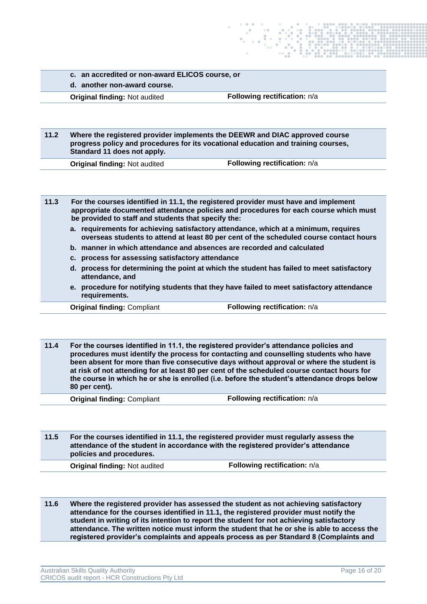- **c. an accredited or non-award ELICOS course, or**
- **d. another non-award course.**

**11.2 Where the registered provider implements the DEEWR and DIAC approved course progress policy and procedures for its vocational education and training courses, Standard 11 does not apply.**

**Original finding:** Not audited **Following rectification:**  $n/a$ 

**11.3 For the courses identified in 11.1, the registered provider must have and implement appropriate documented attendance policies and procedures for each course which must be provided to staff and students that specify the:**

- **a. requirements for achieving satisfactory attendance, which at a minimum, requires overseas students to attend at least 80 per cent of the scheduled course contact hours**
- **b. manner in which attendance and absences are recorded and calculated**
- **c. process for assessing satisfactory attendance**
- **d. process for determining the point at which the student has failed to meet satisfactory attendance, and**
- **e. procedure for notifying students that they have failed to meet satisfactory attendance requirements.**

**Original finding: Compliant <b>Following rectification:**  $n/a$ 

**11.4 For the courses identified in 11.1, the registered provider's attendance policies and procedures must identify the process for contacting and counselling students who have been absent for more than five consecutive days without approval or where the student is at risk of not attending for at least 80 per cent of the scheduled course contact hours for the course in which he or she is enrolled (i.e. before the student's attendance drops below 80 per cent).**

**Original finding: Compliant <b>Following rectification:**  $n/a$ 

**11.5 For the courses identified in 11.1, the registered provider must regularly assess the attendance of the student in accordance with the registered provider's attendance policies and procedures.**

**Original finding:** Not audited **Following rectification:**  $n/a$ 

**11.6 Where the registered provider has assessed the student as not achieving satisfactory attendance for the courses identified in 11.1, the registered provider must notify the student in writing of its intention to report the student for not achieving satisfactory attendance. The written notice must inform the student that he or she is able to access the registered provider's complaints and appeals process as per Standard 8 (Complaints and**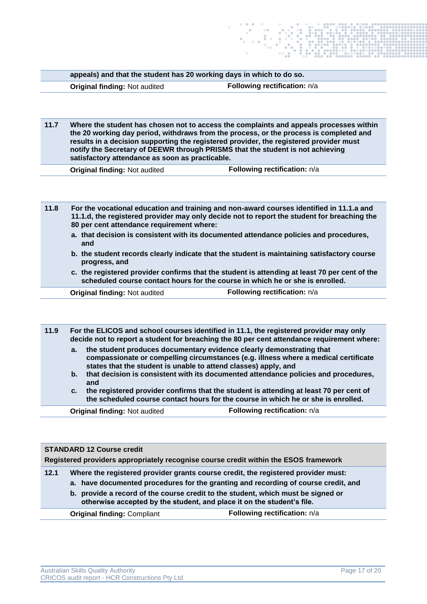|      | appeals) and that the student has 20 working days in which to do so.                                                                                                                                                                                                                                                                                                                                            |                              |
|------|-----------------------------------------------------------------------------------------------------------------------------------------------------------------------------------------------------------------------------------------------------------------------------------------------------------------------------------------------------------------------------------------------------------------|------------------------------|
|      | <b>Original finding: Not audited</b>                                                                                                                                                                                                                                                                                                                                                                            | Following rectification: n/a |
|      |                                                                                                                                                                                                                                                                                                                                                                                                                 |                              |
|      |                                                                                                                                                                                                                                                                                                                                                                                                                 |                              |
| 11.7 | Where the student has chosen not to access the complaints and appeals processes within<br>the 20 working day period, withdraws from the process, or the process is completed and<br>results in a decision supporting the registered provider, the registered provider must<br>notify the Secretary of DEEWR through PRISMS that the student is not achieving<br>satisfactory attendance as soon as practicable. |                              |

**11.8 For the vocational education and training and non-award courses identified in 11.1.a and 11.1.d, the registered provider may only decide not to report the student for breaching the 80 per cent attendance requirement where:**

- **a. that decision is consistent with its documented attendance policies and procedures, and**
- **b. the student records clearly indicate that the student is maintaining satisfactory course progress, and**
- **c. the registered provider confirms that the student is attending at least 70 per cent of the scheduled course contact hours for the course in which he or she is enrolled.**

**Original finding:** Not audited **Following rectification:**  $n/a$ 

**11.9 For the ELICOS and school courses identified in 11.1, the registered provider may only decide not to report a student for breaching the 80 per cent attendance requirement where:**

- **a. the student produces documentary evidence clearly demonstrating that compassionate or compelling circumstances (e.g. illness where a medical certificate states that the student is unable to attend classes) apply, and**
- **b. that decision is consistent with its documented attendance policies and procedures, and**
- **c. the registered provider confirms that the student is attending at least 70 per cent of the scheduled course contact hours for the course in which he or she is enrolled.**

| <b>STANDARD 12 Course credit</b><br>Registered providers appropriately recognise course credit within the ESOS framework |                                                                                                                                                                                                                                                                                                                                       |                              |
|--------------------------------------------------------------------------------------------------------------------------|---------------------------------------------------------------------------------------------------------------------------------------------------------------------------------------------------------------------------------------------------------------------------------------------------------------------------------------|------------------------------|
| 12.1                                                                                                                     | Where the registered provider grants course credit, the registered provider must:<br>a. have documented procedures for the granting and recording of course credit, and<br>b. provide a record of the course credit to the student, which must be signed or<br>otherwise accepted by the student, and place it on the student's file. |                              |
|                                                                                                                          | <b>Original finding: Compliant</b>                                                                                                                                                                                                                                                                                                    | Following rectification: n/a |
|                                                                                                                          |                                                                                                                                                                                                                                                                                                                                       |                              |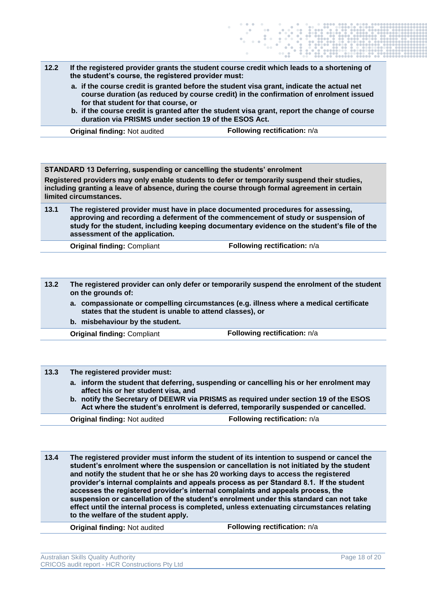- **12.2 If the registered provider grants the student course credit which leads to a shortening of the student's course, the registered provider must:**
	- **a. if the course credit is granted before the student visa grant, indicate the actual net course duration (as reduced by course credit) in the confirmation of enrolment issued for that student for that course, or**
	- **b. if the course credit is granted after the student visa grant, report the change of course duration via PRISMS under section 19 of the ESOS Act.**

**STANDARD 13 Deferring, suspending or cancelling the students' enrolment Registered providers may only enable students to defer or temporarily suspend their studies, including granting a leave of absence, during the course through formal agreement in certain limited circumstances. 13.1 The registered provider must have in place documented procedures for assessing, approving and recording a deferment of the commencement of study or suspension of study for the student, including keeping documentary evidence on the student's file of the assessment of the application.**

**Original finding: Compliant <b>Following rectification:**  $n/a$ 

- **13.2 The registered provider can only defer or temporarily suspend the enrolment of the student on the grounds of:**
	- **a. compassionate or compelling circumstances (e.g. illness where a medical certificate states that the student is unable to attend classes), or**
	- **b. misbehaviour by the student.**

**Original finding: Compliant <b>Following rectification:**  $n/a$ 

| 13.3 | The registered provider must:                                                                                                                                              |                              |  |
|------|----------------------------------------------------------------------------------------------------------------------------------------------------------------------------|------------------------------|--|
|      | a. inform the student that deferring, suspending or cancelling his or her enrolment may<br>affect his or her student visa, and                                             |                              |  |
|      | b. notify the Secretary of DEEWR via PRISMS as required under section 19 of the ESOS<br>Act where the student's enrolment is deferred, temporarily suspended or cancelled. |                              |  |
|      | <b>Original finding: Not audited</b>                                                                                                                                       | Following rectification: n/a |  |

**13.4 The registered provider must inform the student of its intention to suspend or cancel the student's enrolment where the suspension or cancellation is not initiated by the student and notify the student that he or she has 20 working days to access the registered provider's internal complaints and appeals process as per Standard 8.1. If the student accesses the registered provider's internal complaints and appeals process, the suspension or cancellation of the student's enrolment under this standard can not take effect until the internal process is completed, unless extenuating circumstances relating to the welfare of the student apply.**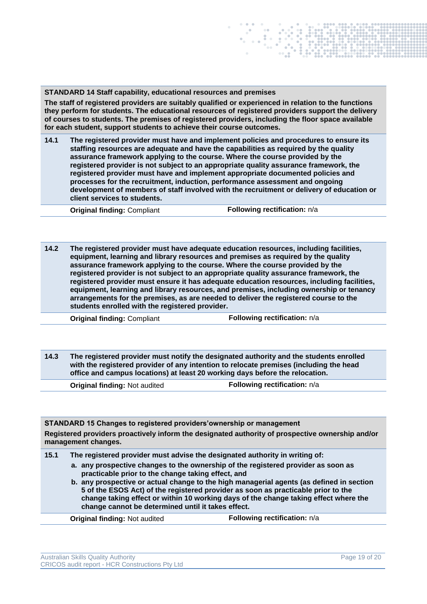**STANDARD 14 Staff capability, educational resources and premises**

**The staff of registered providers are suitably qualified or experienced in relation to the functions they perform for students. The educational resources of registered providers support the delivery of courses to students. The premises of registered providers, including the floor space available for each student, support students to achieve their course outcomes.**

**14.1 The registered provider must have and implement policies and procedures to ensure its staffing resources are adequate and have the capabilities as required by the quality assurance framework applying to the course. Where the course provided by the registered provider is not subject to an appropriate quality assurance framework, the registered provider must have and implement appropriate documented policies and processes for the recruitment, induction, performance assessment and ongoing development of members of staff involved with the recruitment or delivery of education or client services to students.**

**Original finding: Compliant <b>Following rectification:**  $n/a$ 

**14.2 The registered provider must have adequate education resources, including facilities, equipment, learning and library resources and premises as required by the quality assurance framework applying to the course. Where the course provided by the registered provider is not subject to an appropriate quality assurance framework, the registered provider must ensure it has adequate education resources, including facilities, equipment, learning and library resources, and premises, including ownership or tenancy arrangements for the premises, as are needed to deliver the registered course to the students enrolled with the registered provider.**

**Original finding: Compliant <b>Following rectification:**  $n/a$ 

**14.3 The registered provider must notify the designated authority and the students enrolled with the registered provider of any intention to relocate premises (including the head office and campus locations) at least 20 working days before the relocation.**

**Original finding:** Not audited **Following rectification:**  $n/a$ 

**STANDARD 15 Changes to registered providers'ownership or management Registered providers proactively inform the designated authority of prospective ownership and/or management changes.**

**15.1 The registered provider must advise the designated authority in writing of:**

**a. any prospective changes to the ownership of the registered provider as soon as practicable prior to the change taking effect, and**

**b. any prospective or actual change to the high managerial agents (as defined in section 5 of the ESOS Act) of the registered provider as soon as practicable prior to the change taking effect or within 10 working days of the change taking effect where the change cannot be determined until it takes effect.**